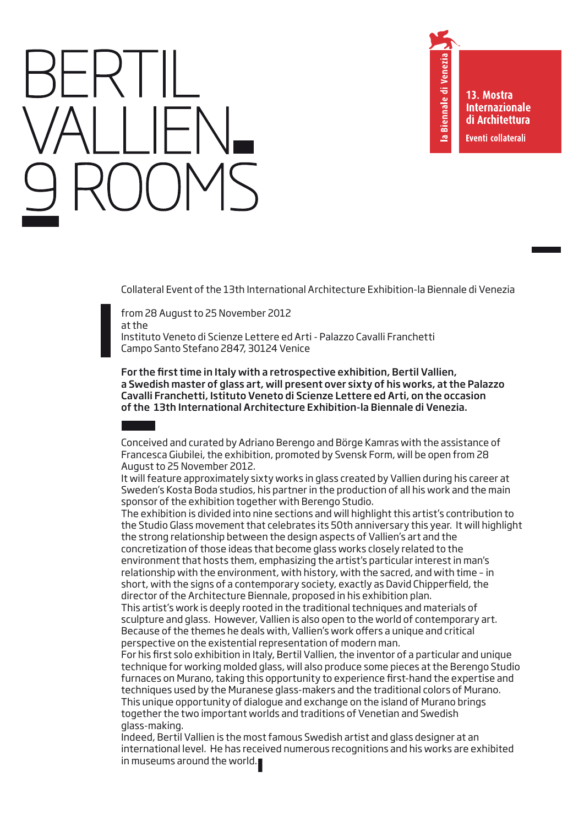13. Mostra **Internazionale** di Architettura Eventi collaterali

Biennale di Venezia

 $\bar{\mathbf{c}}$ 

Collateral Event of the 13th International Architecture Exhibition-la Biennale di Venezia

from 28 August to 25 November 2012 at the Instituto Veneto di Scienze Lettere ed Arti - Palazzo Cavalli Franchetti Campo Santo Stefano 2847, 30124 Venice

For the first time in Italy with a retrospective exhibition, Bertil Vallien, a Swedish master of glass art, will present over sixty of his works, at the Palazzo Cavalli Franchetti, Istituto Veneto di Scienze Lettere ed Arti, on the occasion of the 13th International Architecture Exhibition-la Biennale di Venezia.

Conceived and curated by Adriano Berengo and Börge Kamras with the assistance of Francesca Giubilei, the exhibition, promoted by Svensk Form, will be open from 28 August to 25 November 2012.

It will feature approximately sixty works in glass created by Vallien during his career at Sweden's Kosta Boda studios, his partner in the production of all his work and the main sponsor of the exhibition together with Berengo Studio.

The exhibition is divided into nine sections and will highlight this artist's contribution to the Studio Glass movement that celebrates its 50th anniversary this year. It will highlight the strong relationship between the design aspects of Vallien's art and the concretization of those ideas that become glass works closely related to the environment that hosts them, emphasizing the artist's particular interest in man's relationship with the environment, with history, with the sacred, and with time – in short, with the signs of a contemporary society, exactly as David Chipperfield, the director of the Architecture Biennale, proposed in his exhibition plan.

This artist's work is deeply rooted in the traditional techniques and materials of sculpture and glass. However, Vallien is also open to the world of contemporary art. Because of the themes he deals with, Vallien's work offers a unique and critical perspective on the existential representation of modern man.

For his first solo exhibition in Italy, Bertil Vallien, the inventor of a particular and unique technique for working molded glass, will also produce some pieces at the Berengo Studio furnaces on Murano, taking this opportunity to experience first-hand the expertise and techniques used by the Muranese glass-makers and the traditional colors of Murano. This unique opportunity of dialogue and exchange on the island of Murano brings together the two important worlds and traditions of Venetian and Swedish glass-making.

Indeed, Bertil Vallien is the most famous Swedish artist and glass designer at an international level. He has received numerous recognitions and his works are exhibited in museums around the world.**ı**